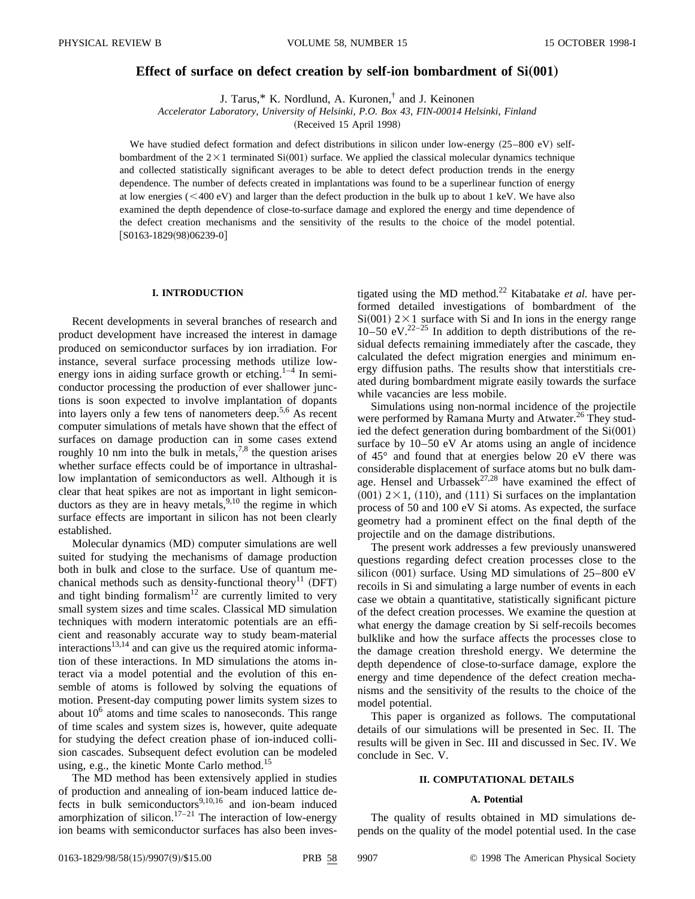# **Effect of surface on defect creation by self-ion bombardment of Si(001)**

J. Tarus,\* K. Nordlund, A. Kuronen,† and J. Keinonen

*Accelerator Laboratory, University of Helsinki, P.O. Box 43, FIN-00014 Helsinki, Finland*

(Received 15 April 1998)

We have studied defect formation and defect distributions in silicon under low-energy  $(25–800 \text{ eV})$  selfbombardment of the  $2\times1$  terminated Si $(001)$  surface. We applied the classical molecular dynamics technique and collected statistically significant averages to be able to detect defect production trends in the energy dependence. The number of defects created in implantations was found to be a superlinear function of energy at low energies ( $<$ 400 eV) and larger than the defect production in the bulk up to about 1 keV. We have also examined the depth dependence of close-to-surface damage and explored the energy and time dependence of the defect creation mechanisms and the sensitivity of the results to the choice of the model potential.  $[ S0163-1829(98)06239-0 ]$ 

### **I. INTRODUCTION**

Recent developments in several branches of research and product development have increased the interest in damage produced on semiconductor surfaces by ion irradiation. For instance, several surface processing methods utilize lowenergy ions in aiding surface growth or etching.<sup>1–4</sup> In semiconductor processing the production of ever shallower junctions is soon expected to involve implantation of dopants into layers only a few tens of nanometers deep.5,6 As recent computer simulations of metals have shown that the effect of surfaces on damage production can in some cases extend roughly 10 nm into the bulk in metals,  $7,8$  the question arises whether surface effects could be of importance in ultrashallow implantation of semiconductors as well. Although it is clear that heat spikes are not as important in light semiconductors as they are in heavy metals,  $9,10$  the regime in which surface effects are important in silicon has not been clearly established.

Molecular dynamics (MD) computer simulations are well suited for studying the mechanisms of damage production both in bulk and close to the surface. Use of quantum mechanical methods such as density-functional theory<sup>11</sup> (DFT) and tight binding formalism<sup>12</sup> are currently limited to very small system sizes and time scales. Classical MD simulation techniques with modern interatomic potentials are an efficient and reasonably accurate way to study beam-material interactions<sup>13,14</sup> and can give us the required atomic information of these interactions. In MD simulations the atoms interact via a model potential and the evolution of this ensemble of atoms is followed by solving the equations of motion. Present-day computing power limits system sizes to about  $10<sup>6</sup>$  atoms and time scales to nanoseconds. This range of time scales and system sizes is, however, quite adequate for studying the defect creation phase of ion-induced collision cascades. Subsequent defect evolution can be modeled using, e.g., the kinetic Monte Carlo method.<sup>15</sup>

The MD method has been extensively applied in studies of production and annealing of ion-beam induced lattice defects in bulk semiconductors $9,10,16$  and ion-beam induced amorphization of silicon. $17-21$  The interaction of low-energy ion beams with semiconductor surfaces has also been investigated using the MD method.<sup>22</sup> Kitabatake et al. have performed detailed investigations of bombardment of the  $Si(001)$   $2 \times 1$  surface with Si and In ions in the energy range  $10-50$  eV.<sup>22-25</sup> In addition to depth distributions of the residual defects remaining immediately after the cascade, they calculated the defect migration energies and minimum energy diffusion paths. The results show that interstitials created during bombardment migrate easily towards the surface while vacancies are less mobile.

Simulations using non-normal incidence of the projectile were performed by Ramana Murty and Atwater.<sup>26</sup> They studied the defect generation during bombardment of the  $Si(001)$ surface by 10–50 eV Ar atoms using an angle of incidence of 45° and found that at energies below 20 eV there was considerable displacement of surface atoms but no bulk damage. Hensel and Urbassek<sup>27,28</sup> have examined the effect of  $(001)$  2×1, (110), and (111) Si surfaces on the implantation process of 50 and 100 eV Si atoms. As expected, the surface geometry had a prominent effect on the final depth of the projectile and on the damage distributions.

The present work addresses a few previously unanswered questions regarding defect creation processes close to the silicon  $(001)$  surface. Using MD simulations of 25–800 eV recoils in Si and simulating a large number of events in each case we obtain a quantitative, statistically significant picture of the defect creation processes. We examine the question at what energy the damage creation by Si self-recoils becomes bulklike and how the surface affects the processes close to the damage creation threshold energy. We determine the depth dependence of close-to-surface damage, explore the energy and time dependence of the defect creation mechanisms and the sensitivity of the results to the choice of the model potential.

This paper is organized as follows. The computational details of our simulations will be presented in Sec. II. The results will be given in Sec. III and discussed in Sec. IV. We conclude in Sec. V.

## **II. COMPUTATIONAL DETAILS**

### **A. Potential**

The quality of results obtained in MD simulations depends on the quality of the model potential used. In the case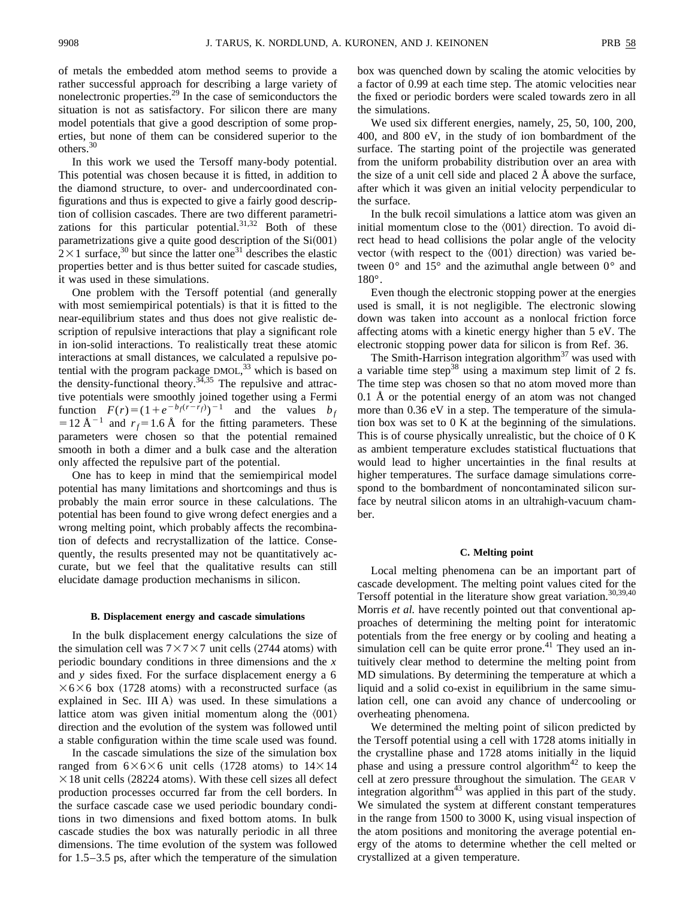of metals the embedded atom method seems to provide a rather successful approach for describing a large variety of nonelectronic properties.<sup>29</sup> In the case of semiconductors the situation is not as satisfactory. For silicon there are many model potentials that give a good description of some properties, but none of them can be considered superior to the others.<sup>30</sup>

In this work we used the Tersoff many-body potential. This potential was chosen because it is fitted, in addition to the diamond structure, to over- and undercoordinated configurations and thus is expected to give a fairly good description of collision cascades. There are two different parametrizations for this particular potential. $31,32$  Both of these parametrizations give a quite good description of the  $Si(001)$  $2 \times 1$  surface,<sup>30</sup> but since the latter one<sup>31</sup> describes the elastic properties better and is thus better suited for cascade studies, it was used in these simulations.

One problem with the Tersoff potential (and generally with most semiempirical potentials) is that it is fitted to the near-equilibrium states and thus does not give realistic description of repulsive interactions that play a significant role in ion-solid interactions. To realistically treat these atomic interactions at small distances, we calculated a repulsive potential with the program package DMOL, <sup>33</sup> which is based on the density-functional theory.<sup>34,35</sup> The repulsive and attractive potentials were smoothly joined together using a Fermi function  $F(r)=(1+e^{-b_f(r-r_f)})^{-1}$  and the values  $b_f$  $=12 \text{ Å}^{-1}$  and  $r_f=1.6 \text{ Å}$  for the fitting parameters. These parameters were chosen so that the potential remained smooth in both a dimer and a bulk case and the alteration only affected the repulsive part of the potential.

One has to keep in mind that the semiempirical model potential has many limitations and shortcomings and thus is probably the main error source in these calculations. The potential has been found to give wrong defect energies and a wrong melting point, which probably affects the recombination of defects and recrystallization of the lattice. Consequently, the results presented may not be quantitatively accurate, but we feel that the qualitative results can still elucidate damage production mechanisms in silicon.

#### **B. Displacement energy and cascade simulations**

In the bulk displacement energy calculations the size of the simulation cell was  $7\times7\times7$  unit cells (2744 atoms) with periodic boundary conditions in three dimensions and the *x* and *y* sides fixed. For the surface displacement energy a 6  $\times$ 6 $\times$ 6 box (1728 atoms) with a reconstructed surface (as explained in Sec. III A) was used. In these simulations a lattice atom was given initial momentum along the  $\langle 001 \rangle$ direction and the evolution of the system was followed until a stable configuration within the time scale used was found.

In the cascade simulations the size of the simulation box ranged from  $6\times6\times6$  unit cells (1728 atoms) to  $14\times14$  $\times$  18 unit cells (28224 atoms). With these cell sizes all defect production processes occurred far from the cell borders. In the surface cascade case we used periodic boundary conditions in two dimensions and fixed bottom atoms. In bulk cascade studies the box was naturally periodic in all three dimensions. The time evolution of the system was followed for 1.5–3.5 ps, after which the temperature of the simulation box was quenched down by scaling the atomic velocities by a factor of 0.99 at each time step. The atomic velocities near the fixed or periodic borders were scaled towards zero in all the simulations.

We used six different energies, namely, 25, 50, 100, 200, 400, and 800 eV, in the study of ion bombardment of the surface. The starting point of the projectile was generated from the uniform probability distribution over an area with the size of a unit cell side and placed 2 Å above the surface, after which it was given an initial velocity perpendicular to the surface.

In the bulk recoil simulations a lattice atom was given an initial momentum close to the  $\langle 001 \rangle$  direction. To avoid direct head to head collisions the polar angle of the velocity vector (with respect to the  $\langle 001 \rangle$  direction) was varied between  $0^{\circ}$  and  $15^{\circ}$  and the azimuthal angle between  $0^{\circ}$  and 180°.

Even though the electronic stopping power at the energies used is small, it is not negligible. The electronic slowing down was taken into account as a nonlocal friction force affecting atoms with a kinetic energy higher than 5 eV. The electronic stopping power data for silicon is from Ref. 36.

The Smith-Harrison integration algorithm $37$  was used with a variable time step<sup>38</sup> using a maximum step limit of 2 fs. The time step was chosen so that no atom moved more than 0.1 Å or the potential energy of an atom was not changed more than 0.36 eV in a step. The temperature of the simulation box was set to 0 K at the beginning of the simulations. This is of course physically unrealistic, but the choice of 0 K as ambient temperature excludes statistical fluctuations that would lead to higher uncertainties in the final results at higher temperatures. The surface damage simulations correspond to the bombardment of noncontaminated silicon surface by neutral silicon atoms in an ultrahigh-vacuum chamber.

### **C. Melting point**

Local melting phenomena can be an important part of cascade development. The melting point values cited for the Tersoff potential in the literature show great variation.<sup>30,39,40</sup> Morris *et al.* have recently pointed out that conventional approaches of determining the melting point for interatomic potentials from the free energy or by cooling and heating a simulation cell can be quite error prone. $41$  They used an intuitively clear method to determine the melting point from MD simulations. By determining the temperature at which a liquid and a solid co-exist in equilibrium in the same simulation cell, one can avoid any chance of undercooling or overheating phenomena.

We determined the melting point of silicon predicted by the Tersoff potential using a cell with 1728 atoms initially in the crystalline phase and 1728 atoms initially in the liquid phase and using a pressure control algorithm $42$  to keep the cell at zero pressure throughout the simulation. The GEAR V integration algorithm<sup>43</sup> was applied in this part of the study. We simulated the system at different constant temperatures in the range from 1500 to 3000 K, using visual inspection of the atom positions and monitoring the average potential energy of the atoms to determine whether the cell melted or crystallized at a given temperature.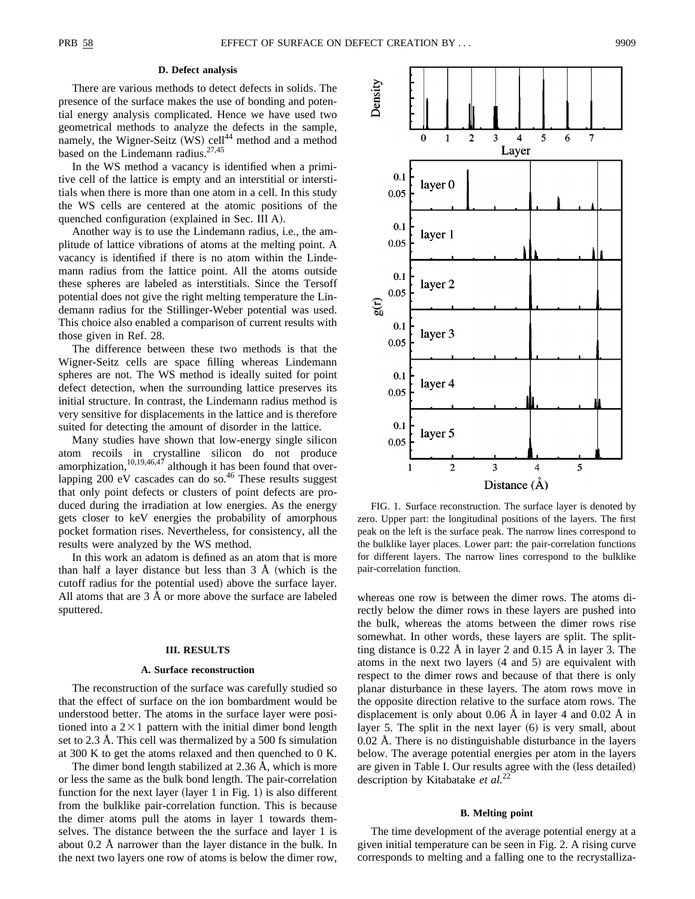## **D. Defect analysis**

There are various methods to detect defects in solids. The presence of the surface makes the use of bonding and potential energy analysis complicated. Hence we have used two geometrical methods to analyze the defects in the sample, namely, the Wigner-Seitz  $(WS)$  cell<sup>44</sup> method and a method based on the Lindemann radius. $27,45$ 

In the WS method a vacancy is identified when a primitive cell of the lattice is empty and an interstitial or interstitials when there is more than one atom in a cell. In this study the WS cells are centered at the atomic positions of the quenched configuration (explained in Sec. III A).

Another way is to use the Lindemann radius, i.e., the amplitude of lattice vibrations of atoms at the melting point. A vacancy is identified if there is no atom within the Lindemann radius from the lattice point. All the atoms outside these spheres are labeled as interstitials. Since the Tersoff potential does not give the right melting temperature the Lindemann radius for the Stillinger-Weber potential was used. This choice also enabled a comparison of current results with those given in Ref. 28.

The difference between these two methods is that the Wigner-Seitz cells are space filling whereas Lindemann spheres are not. The WS method is ideally suited for point defect detection, when the surrounding lattice preserves its initial structure. In contrast, the Lindemann radius method is very sensitive for displacements in the lattice and is therefore suited for detecting the amount of disorder in the lattice.

Many studies have shown that low-energy single silicon atom recoils in crystalline silicon do not produce amorphization,<sup>10,19,46,47</sup> although it has been found that overlapping  $200 \text{ eV}$  cascades can do so.<sup>46</sup> These results suggest that only point defects or clusters of point defects are produced during the irradiation at low energies. As the energy gets closer to keV energies the probability of amorphous pocket formation rises. Nevertheless, for consistency, all the results were analyzed by the WS method.

In this work an adatom is defined as an atom that is more than half a layer distance but less than  $3 \text{ Å}$  (which is the cutoff radius for the potential used) above the surface layer. All atoms that are 3 Å or more above the surface are labeled sputtered.

### **III. RESULTS**

#### **A. Surface reconstruction**

The reconstruction of the surface was carefully studied so that the effect of surface on the ion bombardment would be understood better. The atoms in the surface layer were positioned into a  $2 \times 1$  pattern with the initial dimer bond length set to 2.3 Å. This cell was thermalized by a 500 fs simulation at 300 K to get the atoms relaxed and then quenched to 0 K.

The dimer bond length stabilized at 2.36 Å, which is more or less the same as the bulk bond length. The pair-correlation function for the next layer (layer 1 in Fig. 1) is also different from the bulklike pair-correlation function. This is because the dimer atoms pull the atoms in layer 1 towards themselves. The distance between the the surface and layer 1 is about 0.2 Å narrower than the layer distance in the bulk. In the next two layers one row of atoms is below the dimer row,



FIG. 1. Surface reconstruction. The surface layer is denoted by zero. Upper part: the longitudinal positions of the layers. The first peak on the left is the surface peak. The narrow lines correspond to the bulklike layer places. Lower part: the pair-correlation functions for different layers. The narrow lines correspond to the bulklike pair-correlation function.

whereas one row is between the dimer rows. The atoms directly below the dimer rows in these layers are pushed into the bulk, whereas the atoms between the dimer rows rise somewhat. In other words, these layers are split. The splitting distance is 0.22 Å in layer 2 and 0.15 Å in layer 3. The atoms in the next two layers  $(4 \text{ and } 5)$  are equivalent with respect to the dimer rows and because of that there is only planar disturbance in these layers. The atom rows move in the opposite direction relative to the surface atom rows. The displacement is only about 0.06 Å in layer 4 and 0.02 Å in layer 5. The split in the next layer  $(6)$  is very small, about 0.02 Å. There is no distinguishable disturbance in the layers below. The average potential energies per atom in the layers are given in Table I. Our results agree with the (less detailed) description by Kitabatake *et al.*<sup>22</sup>

#### **B. Melting point**

The time development of the average potential energy at a given initial temperature can be seen in Fig. 2. A rising curve corresponds to melting and a falling one to the recrystalliza-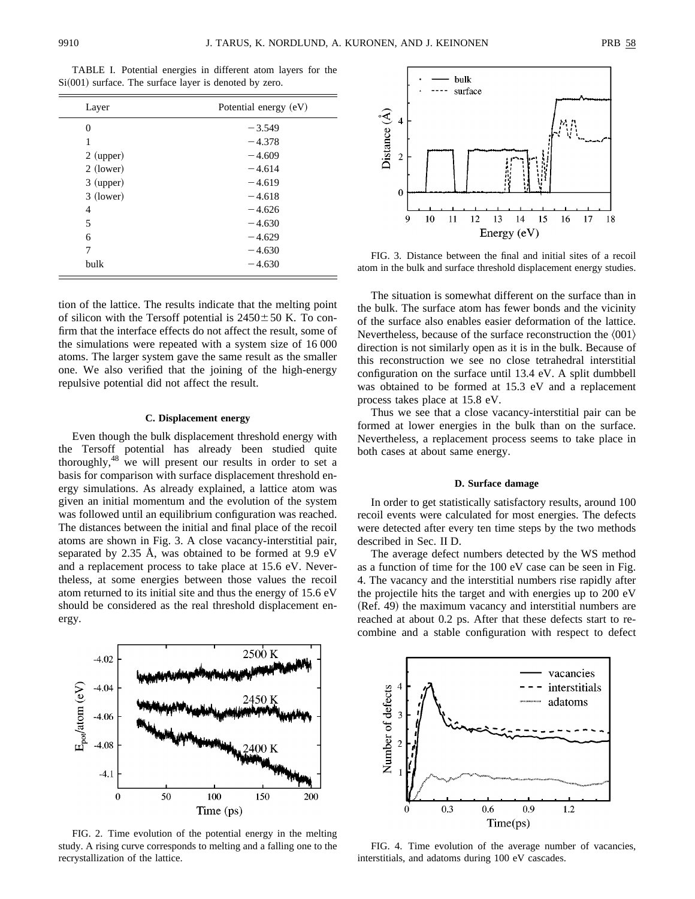TABLE I. Potential energies in different atom layers for the  $Si(001)$  surface. The surface layer is denoted by zero.

| Layer       | Potential energy (eV) |  |
|-------------|-----------------------|--|
| 0           | $-3.549$              |  |
|             | $-4.378$              |  |
| $2$ (upper) | $-4.609$              |  |
| 2 (lower)   | $-4.614$              |  |
| 3 (upper)   | $-4.619$              |  |
| 3 (lower)   | $-4.618$              |  |
| 4           | $-4.626$              |  |
| 5           | $-4.630$              |  |
| 6           | $-4.629$              |  |
| 7           | $-4.630$              |  |
| bulk        | $-4.630$              |  |

tion of the lattice. The results indicate that the melting point of silicon with the Tersoff potential is  $2450 \pm 50$  K. To confirm that the interface effects do not affect the result, some of the simulations were repeated with a system size of 16 000 atoms. The larger system gave the same result as the smaller one. We also verified that the joining of the high-energy repulsive potential did not affect the result.

#### **C. Displacement energy**

Even though the bulk displacement threshold energy with the Tersoff potential has already been studied quite thoroughly,<sup>48</sup> we will present our results in order to set a basis for comparison with surface displacement threshold energy simulations. As already explained, a lattice atom was given an initial momentum and the evolution of the system was followed until an equilibrium configuration was reached. The distances between the initial and final place of the recoil atoms are shown in Fig. 3. A close vacancy-interstitial pair, separated by 2.35 Å, was obtained to be formed at 9.9 eV and a replacement process to take place at 15.6 eV. Nevertheless, at some energies between those values the recoil atom returned to its initial site and thus the energy of 15.6 eV should be considered as the real threshold displacement energy.



FIG. 2. Time evolution of the potential energy in the melting study. A rising curve corresponds to melting and a falling one to the recrystallization of the lattice.



FIG. 3. Distance between the final and initial sites of a recoil atom in the bulk and surface threshold displacement energy studies.

The situation is somewhat different on the surface than in the bulk. The surface atom has fewer bonds and the vicinity of the surface also enables easier deformation of the lattice. Nevertheless, because of the surface reconstruction the  $\langle 001 \rangle$ direction is not similarly open as it is in the bulk. Because of this reconstruction we see no close tetrahedral interstitial configuration on the surface until 13.4 eV. A split dumbbell was obtained to be formed at 15.3 eV and a replacement process takes place at 15.8 eV.

Thus we see that a close vacancy-interstitial pair can be formed at lower energies in the bulk than on the surface. Nevertheless, a replacement process seems to take place in both cases at about same energy.

### **D. Surface damage**

In order to get statistically satisfactory results, around 100 recoil events were calculated for most energies. The defects were detected after every ten time steps by the two methods described in Sec. II D.

The average defect numbers detected by the WS method as a function of time for the 100 eV case can be seen in Fig. 4. The vacancy and the interstitial numbers rise rapidly after the projectile hits the target and with energies up to 200 eV  $(Ref. 49)$  the maximum vacancy and interstitial numbers are reached at about 0.2 ps. After that these defects start to recombine and a stable configuration with respect to defect



FIG. 4. Time evolution of the average number of vacancies, interstitials, and adatoms during 100 eV cascades.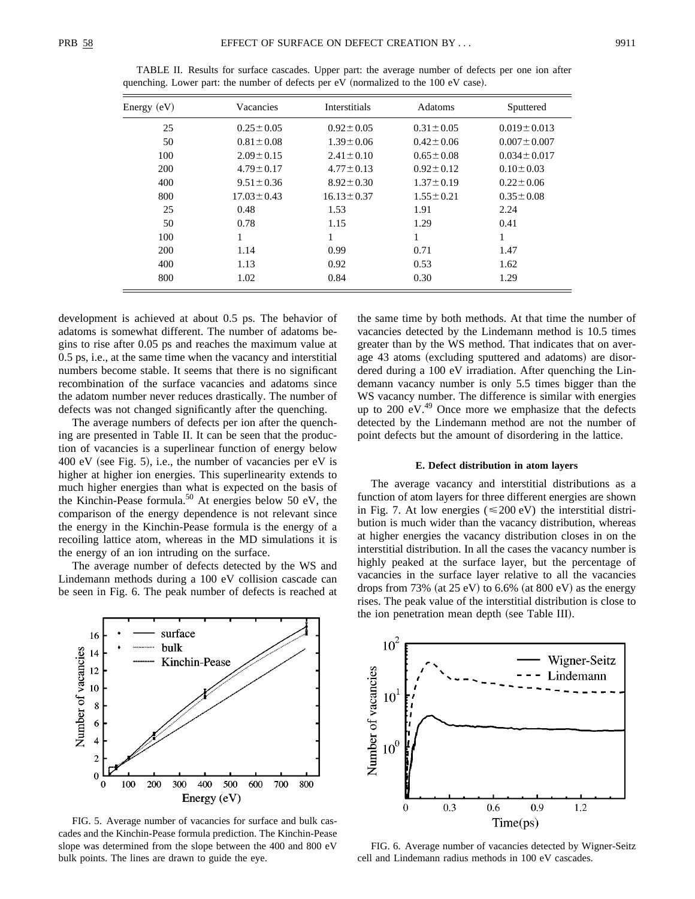| Energy $(eV)$ | Vacancies        | <b>Interstitials</b> | Adatoms         | Sputtered         |
|---------------|------------------|----------------------|-----------------|-------------------|
| 25            | $0.25 \pm 0.05$  | $0.92 \pm 0.05$      | $0.31 \pm 0.05$ | $0.019 \pm 0.013$ |
| 50            | $0.81 \pm 0.08$  | $1.39 \pm 0.06$      | $0.42 \pm 0.06$ | $0.007 \pm 0.007$ |
| 100           | $2.09 \pm 0.15$  | $2.41 \pm 0.10$      | $0.65 \pm 0.08$ | $0.034 \pm 0.017$ |
| 200           | $4.79 \pm 0.17$  | $4.77 \pm 0.13$      | $0.92 \pm 0.12$ | $0.10 \pm 0.03$   |
| 400           | $9.51 \pm 0.36$  | $8.92 \pm 0.30$      | $1.37 \pm 0.19$ | $0.22 \pm 0.06$   |
| 800           | $17.03 \pm 0.43$ | $16.13 \pm 0.37$     | $1.55 \pm 0.21$ | $0.35 \pm 0.08$   |
| 25            | 0.48             | 1.53                 | 1.91            | 2.24              |
| 50            | 0.78             | 1.15                 | 1.29            | 0.41              |
| 100           | 1                | 1                    | 1               |                   |
| 200           | 1.14             | 0.99                 | 0.71            | 1.47              |
| 400           | 1.13             | 0.92                 | 0.53            | 1.62              |
| 800           | 1.02             | 0.84                 | 0.30            | 1.29              |

TABLE II. Results for surface cascades. Upper part: the average number of defects per one ion after quenching. Lower part: the number of defects per  $eV$  (normalized to the 100  $eV$  case).

development is achieved at about 0.5 ps. The behavior of adatoms is somewhat different. The number of adatoms begins to rise after 0.05 ps and reaches the maximum value at 0.5 ps, i.e., at the same time when the vacancy and interstitial numbers become stable. It seems that there is no significant recombination of the surface vacancies and adatoms since the adatom number never reduces drastically. The number of defects was not changed significantly after the quenching.

The average numbers of defects per ion after the quenching are presented in Table II. It can be seen that the production of vacancies is a superlinear function of energy below 400 eV (see Fig. 5), i.e., the number of vacancies per  $eV$  is higher at higher ion energies. This superlinearity extends to much higher energies than what is expected on the basis of the Kinchin-Pease formula.50 At energies below 50 eV, the comparison of the energy dependence is not relevant since the energy in the Kinchin-Pease formula is the energy of a recoiling lattice atom, whereas in the MD simulations it is the energy of an ion intruding on the surface.

The average number of defects detected by the WS and Lindemann methods during a 100 eV collision cascade can be seen in Fig. 6. The peak number of defects is reached at

surface 16 bulk Number of vacancies  $14$ Kinchin-Pease 12  $10$ 8 6  $\overline{a}$  $\overline{2}$ 0  $\theta$ 100 200 300 400 500 600 700 800 Energy (eV)

FIG. 5. Average number of vacancies for surface and bulk cascades and the Kinchin-Pease formula prediction. The Kinchin-Pease slope was determined from the slope between the 400 and 800 eV bulk points. The lines are drawn to guide the eye.

the same time by both methods. At that time the number of vacancies detected by the Lindemann method is 10.5 times greater than by the WS method. That indicates that on average 43 atoms (excluding sputtered and adatoms) are disordered during a 100 eV irradiation. After quenching the Lindemann vacancy number is only 5.5 times bigger than the WS vacancy number. The difference is similar with energies up to 200 eV.<sup>49</sup> Once more we emphasize that the defects detected by the Lindemann method are not the number of point defects but the amount of disordering in the lattice.

#### **E. Defect distribution in atom layers**

The average vacancy and interstitial distributions as a function of atom layers for three different energies are shown in Fig. 7. At low energies ( $\leq 200 \text{ eV}$ ) the interstitial distribution is much wider than the vacancy distribution, whereas at higher energies the vacancy distribution closes in on the interstitial distribution. In all the cases the vacancy number is highly peaked at the surface layer, but the percentage of vacancies in the surface layer relative to all the vacancies drops from 73% (at  $25 \text{ eV}$ ) to 6.6% (at  $800 \text{ eV}$ ) as the energy rises. The peak value of the interstitial distribution is close to the ion penetration mean depth (see Table III).



FIG. 6. Average number of vacancies detected by Wigner-Seitz cell and Lindemann radius methods in 100 eV cascades.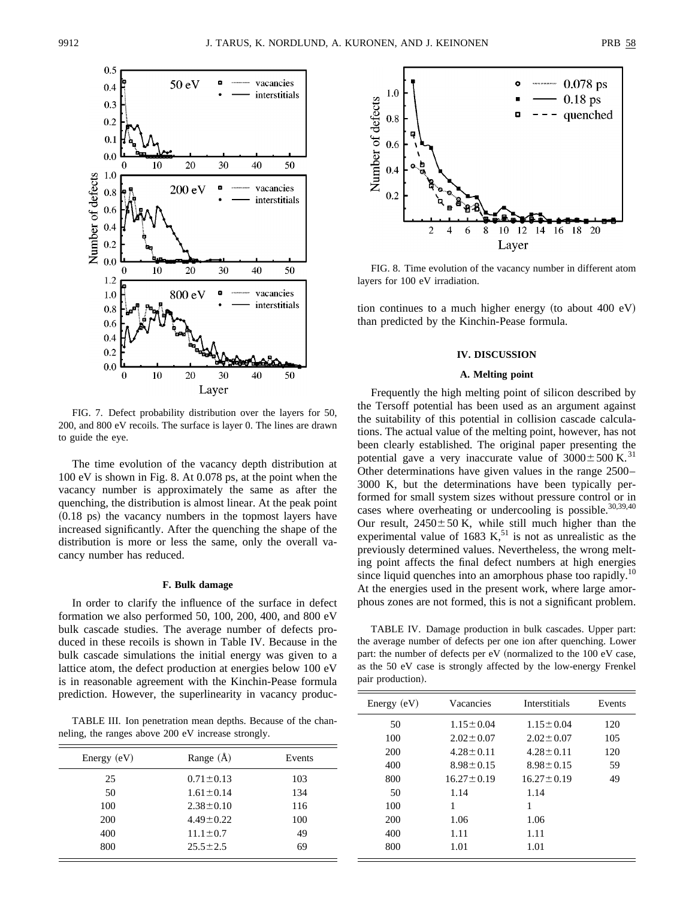

FIG. 7. Defect probability distribution over the layers for 50, 200, and 800 eV recoils. The surface is layer 0. The lines are drawn to guide the eye.

The time evolution of the vacancy depth distribution at 100 eV is shown in Fig. 8. At 0.078 ps, at the point when the vacancy number is approximately the same as after the quenching, the distribution is almost linear. At the peak point  $(0.18 \text{ ps})$  the vacancy numbers in the topmost layers have increased significantly. After the quenching the shape of the distribution is more or less the same, only the overall vacancy number has reduced.

#### **F. Bulk damage**

In order to clarify the influence of the surface in defect formation we also performed 50, 100, 200, 400, and 800 eV bulk cascade studies. The average number of defects produced in these recoils is shown in Table IV. Because in the bulk cascade simulations the initial energy was given to a lattice atom, the defect production at energies below 100 eV is in reasonable agreement with the Kinchin-Pease formula prediction. However, the superlinearity in vacancy produc-

TABLE III. Ion penetration mean depths. Because of the channeling, the ranges above 200 eV increase strongly.

| Energy $(eV)$ | Range $(\AA)$   | Events |
|---------------|-----------------|--------|
| 25            | $0.71 \pm 0.13$ | 103    |
| 50            | $1.61 \pm 0.14$ | 134    |
| 100           | $2.38 \pm 0.10$ | 116    |
| 200           | $4.49 \pm 0.22$ | 100    |
| 400           | $11.1 \pm 0.7$  | 49     |
| 800           | $25.5 \pm 2.5$  | 69     |



FIG. 8. Time evolution of the vacancy number in different atom layers for 100 eV irradiation.

tion continues to a much higher energy (to about  $400 \text{ eV}$ ) than predicted by the Kinchin-Pease formula.

### **IV. DISCUSSION**

### **A. Melting point**

Frequently the high melting point of silicon described by the Tersoff potential has been used as an argument against the suitability of this potential in collision cascade calculations. The actual value of the melting point, however, has not been clearly established. The original paper presenting the potential gave a very inaccurate value of  $3000 \pm 500$  K.<sup>31</sup> Other determinations have given values in the range 2500– 3000 K, but the determinations have been typically performed for small system sizes without pressure control or in cases where overheating or undercooling is possible.<sup>30,39,40</sup> Our result,  $2450 \pm 50$  K, while still much higher than the experimental value of 1683 K,<sup>51</sup> is not as unrealistic as the previously determined values. Nevertheless, the wrong melting point affects the final defect numbers at high energies since liquid quenches into an amorphous phase too rapidly.<sup>10</sup> At the energies used in the present work, where large amorphous zones are not formed, this is not a significant problem.

TABLE IV. Damage production in bulk cascades. Upper part: the average number of defects per one ion after quenching. Lower part: the number of defects per eV (normalized to the 100 eV case, as the 50 eV case is strongly affected by the low-energy Frenkel pair production).

| Energy (eV) | Vacancies        | Interstitials    | Events |
|-------------|------------------|------------------|--------|
|             |                  |                  |        |
| 50          | $1.15 \pm 0.04$  | $1.15 \pm 0.04$  | 120    |
| 100         | $2.02 \pm 0.07$  | $2.02 \pm 0.07$  | 105    |
| 200         | $4.28 + 0.11$    | $4.28 + 0.11$    | 120    |
| 400         | $8.98 \pm 0.15$  | $8.98 \pm 0.15$  | 59     |
| 800         | $16.27 \pm 0.19$ | $16.27 \pm 0.19$ | 49     |
| 50          | 1.14             | 1.14             |        |
| 100         | 1                | 1                |        |
| 200         | 1.06             | 1.06             |        |
| 400         | 1.11             | 1.11             |        |
| 800         | 1.01             | 1.01             |        |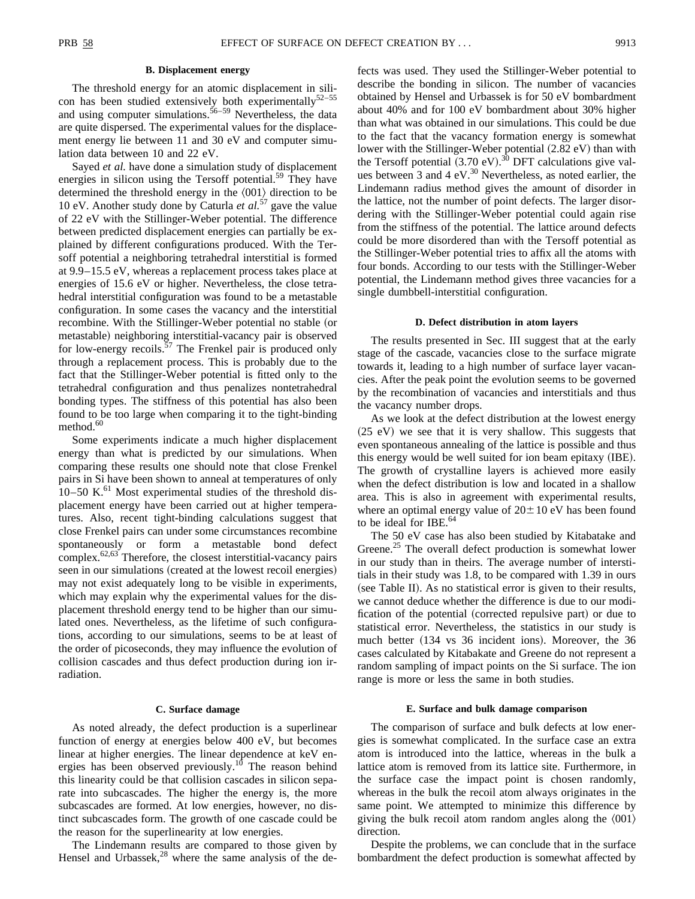#### **B. Displacement energy**

The threshold energy for an atomic displacement in silicon has been studied extensively both experimentally $52-55$ and using computer simulations.<sup>56-59</sup> Nevertheless, the data are quite dispersed. The experimental values for the displacement energy lie between 11 and 30 eV and computer simulation data between 10 and 22 eV.

Sayed *et al.* have done a simulation study of displacement energies in silicon using the Tersoff potential.<sup>59</sup> They have determined the threshold energy in the  $\langle 001 \rangle$  direction to be 10 eV. Another study done by Caturla *et al.*<sup>57</sup> gave the value of 22 eV with the Stillinger-Weber potential. The difference between predicted displacement energies can partially be explained by different configurations produced. With the Tersoff potential a neighboring tetrahedral interstitial is formed at 9.9–15.5 eV, whereas a replacement process takes place at energies of 15.6 eV or higher. Nevertheless, the close tetrahedral interstitial configuration was found to be a metastable configuration. In some cases the vacancy and the interstitial recombine. With the Stillinger-Weber potential no stable (or metastable) neighboring interstitial-vacancy pair is observed for low-energy recoils. $57$  The Frenkel pair is produced only through a replacement process. This is probably due to the fact that the Stillinger-Weber potential is fitted only to the tetrahedral configuration and thus penalizes nontetrahedral bonding types. The stiffness of this potential has also been found to be too large when comparing it to the tight-binding method. $60$ 

Some experiments indicate a much higher displacement energy than what is predicted by our simulations. When comparing these results one should note that close Frenkel pairs in Si have been shown to anneal at temperatures of only  $10-50$  K. $^{61}$  Most experimental studies of the threshold displacement energy have been carried out at higher temperatures. Also, recent tight-binding calculations suggest that close Frenkel pairs can under some circumstances recombine spontaneously or form a metastable bond defect complex.<sup>62,63</sup> Therefore, the closest interstitial-vacancy pairs seen in our simulations (created at the lowest recoil energies) may not exist adequately long to be visible in experiments, which may explain why the experimental values for the displacement threshold energy tend to be higher than our simulated ones. Nevertheless, as the lifetime of such configurations, according to our simulations, seems to be at least of the order of picoseconds, they may influence the evolution of collision cascades and thus defect production during ion irradiation.

### **C. Surface damage**

As noted already, the defect production is a superlinear function of energy at energies below 400 eV, but becomes linear at higher energies. The linear dependence at keV energies has been observed previously.<sup>10</sup> The reason behind this linearity could be that collision cascades in silicon separate into subcascades. The higher the energy is, the more subcascades are formed. At low energies, however, no distinct subcascades form. The growth of one cascade could be the reason for the superlinearity at low energies.

The Lindemann results are compared to those given by Hensel and Urbassek, $^{28}$  where the same analysis of the defects was used. They used the Stillinger-Weber potential to describe the bonding in silicon. The number of vacancies obtained by Hensel and Urbassek is for 50 eV bombardment about 40% and for 100 eV bombardment about 30% higher than what was obtained in our simulations. This could be due to the fact that the vacancy formation energy is somewhat lower with the Stillinger-Weber potential  $(2.82 \text{ eV})$  than with the Tersoff potential  $(3.70 \text{ eV})$ .<sup>30</sup> DFT calculations give values between 3 and 4 eV.<sup>30</sup> Nevertheless, as noted earlier, the Lindemann radius method gives the amount of disorder in the lattice, not the number of point defects. The larger disordering with the Stillinger-Weber potential could again rise from the stiffness of the potential. The lattice around defects could be more disordered than with the Tersoff potential as the Stillinger-Weber potential tries to affix all the atoms with four bonds. According to our tests with the Stillinger-Weber potential, the Lindemann method gives three vacancies for a single dumbbell-interstitial configuration.

#### **D. Defect distribution in atom layers**

The results presented in Sec. III suggest that at the early stage of the cascade, vacancies close to the surface migrate towards it, leading to a high number of surface layer vacancies. After the peak point the evolution seems to be governed by the recombination of vacancies and interstitials and thus the vacancy number drops.

As we look at the defect distribution at the lowest energy  $(25 \text{ eV})$  we see that it is very shallow. This suggests that even spontaneous annealing of the lattice is possible and thus this energy would be well suited for ion beam epitaxy (IBE). The growth of crystalline layers is achieved more easily when the defect distribution is low and located in a shallow area. This is also in agreement with experimental results, where an optimal energy value of  $20 \pm 10$  eV has been found to be ideal for IBE.<sup>64</sup>

The 50 eV case has also been studied by Kitabatake and Greene.<sup>25</sup> The overall defect production is somewhat lower in our study than in theirs. The average number of interstitials in their study was 1.8, to be compared with 1.39 in ours  $(see Table II).$  As no statistical error is given to their results, we cannot deduce whether the difference is due to our modification of the potential (corrected repulsive part) or due to statistical error. Nevertheless, the statistics in our study is much better (134 vs 36 incident ions). Moreover, the 36 cases calculated by Kitabakate and Greene do not represent a random sampling of impact points on the Si surface. The ion range is more or less the same in both studies.

### **E. Surface and bulk damage comparison**

The comparison of surface and bulk defects at low energies is somewhat complicated. In the surface case an extra atom is introduced into the lattice, whereas in the bulk a lattice atom is removed from its lattice site. Furthermore, in the surface case the impact point is chosen randomly, whereas in the bulk the recoil atom always originates in the same point. We attempted to minimize this difference by giving the bulk recoil atom random angles along the  $\langle 001 \rangle$ direction.

Despite the problems, we can conclude that in the surface bombardment the defect production is somewhat affected by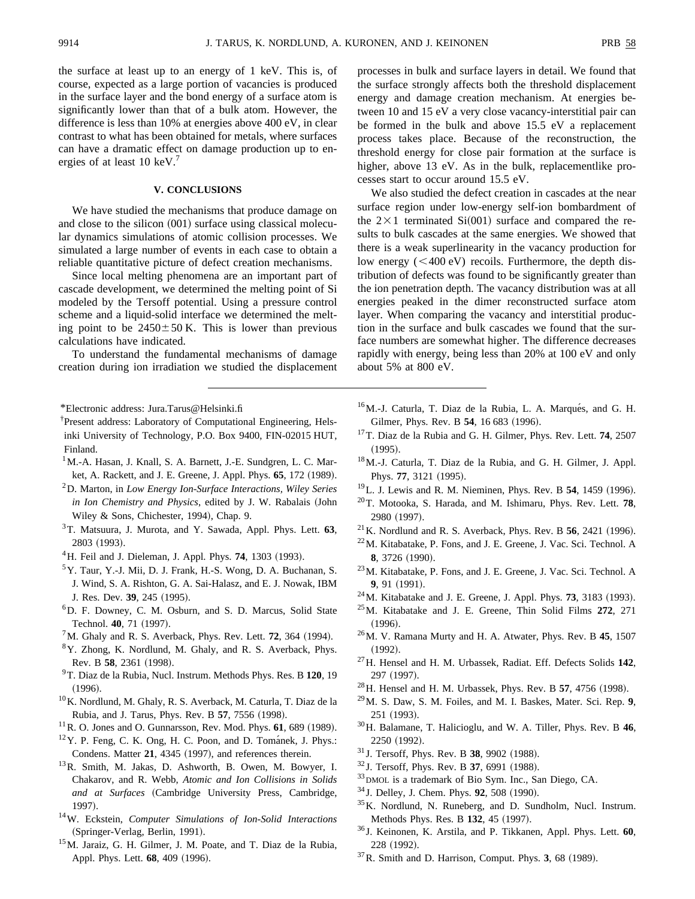the surface at least up to an energy of 1 keV. This is, of course, expected as a large portion of vacancies is produced in the surface layer and the bond energy of a surface atom is significantly lower than that of a bulk atom. However, the difference is less than 10% at energies above 400 eV, in clear contrast to what has been obtained for metals, where surfaces can have a dramatic effect on damage production up to energies of at least 10 keV.<sup>7</sup>

## **V. CONCLUSIONS**

We have studied the mechanisms that produce damage on and close to the silicon  $(001)$  surface using classical molecular dynamics simulations of atomic collision processes. We simulated a large number of events in each case to obtain a reliable quantitative picture of defect creation mechanisms.

Since local melting phenomena are an important part of cascade development, we determined the melting point of Si modeled by the Tersoff potential. Using a pressure control scheme and a liquid-solid interface we determined the melting point to be  $2450 \pm 50$  K. This is lower than previous calculations have indicated.

To understand the fundamental mechanisms of damage creation during ion irradiation we studied the displacement processes in bulk and surface layers in detail. We found that the surface strongly affects both the threshold displacement energy and damage creation mechanism. At energies between 10 and 15 eV a very close vacancy-interstitial pair can be formed in the bulk and above 15.5 eV a replacement process takes place. Because of the reconstruction, the threshold energy for close pair formation at the surface is higher, above 13 eV. As in the bulk, replacementlike processes start to occur around 15.5 eV.

We also studied the defect creation in cascades at the near surface region under low-energy self-ion bombardment of the  $2\times1$  terminated Si $(001)$  surface and compared the results to bulk cascades at the same energies. We showed that there is a weak superlinearity in the vacancy production for low energy  $( $400 \text{ eV}$ )$  recoils. Furthermore, the depth distribution of defects was found to be significantly greater than the ion penetration depth. The vacancy distribution was at all energies peaked in the dimer reconstructed surface atom layer. When comparing the vacancy and interstitial production in the surface and bulk cascades we found that the surface numbers are somewhat higher. The difference decreases rapidly with energy, being less than 20% at 100 eV and only about 5% at 800 eV.

\*Electronic address: Jura.Tarus@Helsinki.fi

- † Present address: Laboratory of Computational Engineering, Helsinki University of Technology, P.O. Box 9400, FIN-02015 HUT, Finland.
- <sup>1</sup> M.-A. Hasan, J. Knall, S. A. Barnett, J.-E. Sundgren, L. C. Market, A. Rackett, and J. E. Greene, J. Appl. Phys. **65**, 172 (1989).
- 2D. Marton, in *Low Energy Ion-Surface Interactions, Wiley Series in Ion Chemistry and Physics*, edited by J. W. Rabalais (John Wiley & Sons, Chichester, 1994), Chap. 9.
- 3T. Matsuura, J. Murota, and Y. Sawada, Appl. Phys. Lett. **63**, 2803 (1993).
- <sup>4</sup>H. Feil and J. Dieleman, J. Appl. Phys. **74**, 1303 (1993).
- 5Y. Taur, Y.-J. Mii, D. J. Frank, H.-S. Wong, D. A. Buchanan, S. J. Wind, S. A. Rishton, G. A. Sai-Halasz, and E. J. Nowak, IBM J. Res. Dev. 39, 245 (1995).
- 6D. F. Downey, C. M. Osburn, and S. D. Marcus, Solid State Technol. **40**, 71 (1997).
- ${}^{7}$ M. Ghaly and R. S. Averback, Phys. Rev. Lett. **72**, 364 (1994).
- 8Y. Zhong, K. Nordlund, M. Ghaly, and R. S. Averback, Phys. Rev. B 58, 2361 (1998).
- 9T. Diaz de la Rubia, Nucl. Instrum. Methods Phys. Res. B **120**, 19  $(1996).$
- 10K. Nordlund, M. Ghaly, R. S. Averback, M. Caturla, T. Diaz de la Rubia, and J. Tarus, Phys. Rev. B 57, 7556 (1998).
- $11$  R. O. Jones and O. Gunnarsson, Rev. Mod. Phys.  $61, 689$  (1989).
- $12$ Y. P. Feng, C. K. Ong, H. C. Poon, and D. Tomanek, J. Phys.: Condens. Matter 21, 4345 (1997), and references therein.
- 13R. Smith, M. Jakas, D. Ashworth, B. Owen, M. Bowyer, I. Chakarov, and R. Webb, *Atomic and Ion Collisions in Solids* and at Surfaces (Cambridge University Press, Cambridge, 1997).
- 14W. Eckstein, *Computer Simulations of Ion-Solid Interactions* (Springer-Verlag, Berlin, 1991).
- <sup>15</sup>M. Jaraiz, G. H. Gilmer, J. M. Poate, and T. Diaz de la Rubia, Appl. Phys. Lett. **68**, 409 (1996).
- $16$ M.-J. Caturla, T. Diaz de la Rubia, L. A. Marqués, and G. H. Gilmer, Phys. Rev. B 54, 16 683 (1996).
- 17T. Diaz de la Rubia and G. H. Gilmer, Phys. Rev. Lett. **74**, 2507  $(1995).$
- 18M.-J. Caturla, T. Diaz de la Rubia, and G. H. Gilmer, J. Appl. Phys. 77, 3121 (1995).
- <sup>19</sup>L. J. Lewis and R. M. Nieminen, Phys. Rev. B 54, 1459 (1996).
- 20T. Motooka, S. Harada, and M. Ishimaru, Phys. Rev. Lett. **78**, 2980 (1997).
- $^{21}$ K. Nordlund and R. S. Averback, Phys. Rev. B 56, 2421 (1996).
- 22M. Kitabatake, P. Fons, and J. E. Greene, J. Vac. Sci. Technol. A **8**, 3726 (1990).
- 23M. Kitabatake, P. Fons, and J. E. Greene, J. Vac. Sci. Technol. A **9**, 91 (1991).
- $24$ M. Kitabatake and J. E. Greene, J. Appl. Phys. **73**, 3183 (1993).
- 25M. Kitabatake and J. E. Greene, Thin Solid Films **272**, 271  $(1996).$
- 26M. V. Ramana Murty and H. A. Atwater, Phys. Rev. B **45**, 1507  $(1992).$
- 27H. Hensel and H. M. Urbassek, Radiat. Eff. Defects Solids **142**, 297 (1997).
- <sup>28</sup> H. Hensel and H. M. Urbassek, Phys. Rev. B **57**, 4756 (1998).
- 29M. S. Daw, S. M. Foiles, and M. I. Baskes, Mater. Sci. Rep. **9**, 251 (1993).
- 30H. Balamane, T. Halicioglu, and W. A. Tiller, Phys. Rev. B **46**, 2250 (1992).
- <sup>31</sup> J. Tersoff, Phys. Rev. B **38**, 9902 (1988).
- $32$  J. Tersoff, Phys. Rev. B 37, 6991 (1988).
- 33DMOL is a trademark of Bio Sym. Inc., San Diego, CA.
- <sup>34</sup> J. Delley, J. Chem. Phys. **92**, 508 (1990).
- 35K. Nordlund, N. Runeberg, and D. Sundholm, Nucl. Instrum. Methods Phys. Res. B 132, 45 (1997).
- <sup>36</sup> J. Keinonen, K. Arstila, and P. Tikkanen, Appl. Phys. Lett. **60**, 228 (1992).
- $37R$ . Smith and D. Harrison, Comput. Phys. 3, 68  $(1989)$ .